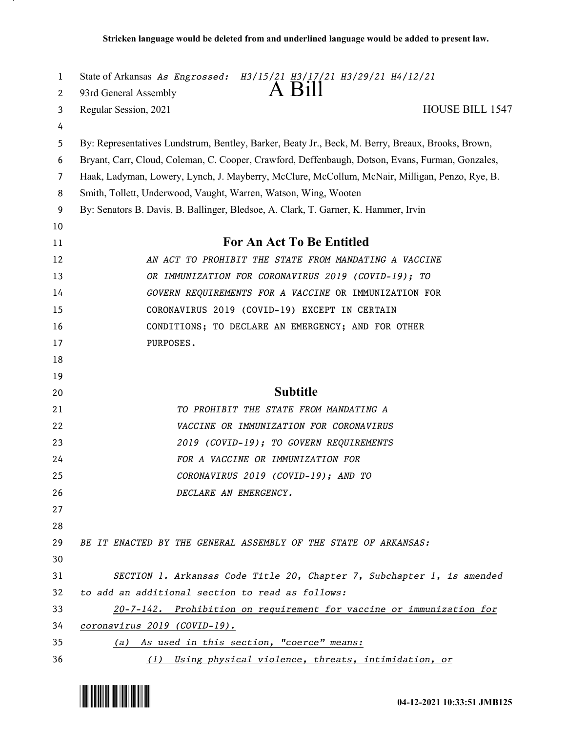| 1<br>2 | State of Arkansas As Engrossed: H3/15/21 H3/17/21 H3/29/21 H4/12/21<br>A Bill<br>93rd General Assembly |
|--------|--------------------------------------------------------------------------------------------------------|
| 3      | Regular Session, 2021<br><b>HOUSE BILL 1547</b>                                                        |
| 4      |                                                                                                        |
| 5      | By: Representatives Lundstrum, Bentley, Barker, Beaty Jr., Beck, M. Berry, Breaux, Brooks, Brown,      |
| 6      | Bryant, Carr, Cloud, Coleman, C. Cooper, Crawford, Deffenbaugh, Dotson, Evans, Furman, Gonzales,       |
| 7      | Haak, Ladyman, Lowery, Lynch, J. Mayberry, McClure, McCollum, McNair, Milligan, Penzo, Rye, B.         |
| 8      | Smith, Tollett, Underwood, Vaught, Warren, Watson, Wing, Wooten                                        |
| 9      | By: Senators B. Davis, B. Ballinger, Bledsoe, A. Clark, T. Garner, K. Hammer, Irvin                    |
| 10     |                                                                                                        |
| 11     | For An Act To Be Entitled                                                                              |
| 12     | AN ACT TO PROHIBIT THE STATE FROM MANDATING A VACCINE                                                  |
| 13     | OR IMMUNIZATION FOR CORONAVIRUS 2019 (COVID-19); TO                                                    |
| 14     | GOVERN REQUIREMENTS FOR A VACCINE OR IMMUNIZATION FOR                                                  |
| 15     | CORONAVIRUS 2019 (COVID-19) EXCEPT IN CERTAIN                                                          |
| 16     | CONDITIONS; TO DECLARE AN EMERGENCY; AND FOR OTHER                                                     |
| 17     | PURPOSES.                                                                                              |
| 18     |                                                                                                        |
| 19     |                                                                                                        |
| 20     | <b>Subtitle</b>                                                                                        |
| 21     | TO PROHIBIT THE STATE FROM MANDATING A                                                                 |
| 22     | VACCINE OR IMMUNIZATION FOR CORONAVIRUS                                                                |
| 23     | 2019 (COVID-19); TO GOVERN REQUIREMENTS                                                                |
| 24     | FOR A VACCINE OR IMMUNIZATION FOR                                                                      |
| 25     | CORONAVIRUS 2019 (COVID-19); AND TO                                                                    |
| 26     | DECLARE AN EMERGENCY.                                                                                  |
| 27     |                                                                                                        |
| 28     |                                                                                                        |
| 29     | BE IT ENACTED BY THE GENERAL ASSEMBLY OF THE STATE OF ARKANSAS:                                        |
| 30     |                                                                                                        |
| 31     | SECTION 1. Arkansas Code Title 20, Chapter 7, Subchapter 1, is amended                                 |
| 32     | to add an additional section to read as follows:                                                       |
| 33     | 20-7-142. Prohibition on requirement for vaccine or immunization for                                   |
| 34     | coronavirus 2019 (COVID-19).                                                                           |
| 35     | (a) As used in this section, "coerce" means:                                                           |
| 36     | (1) Using physical violence, threats, intimidation, or                                                 |

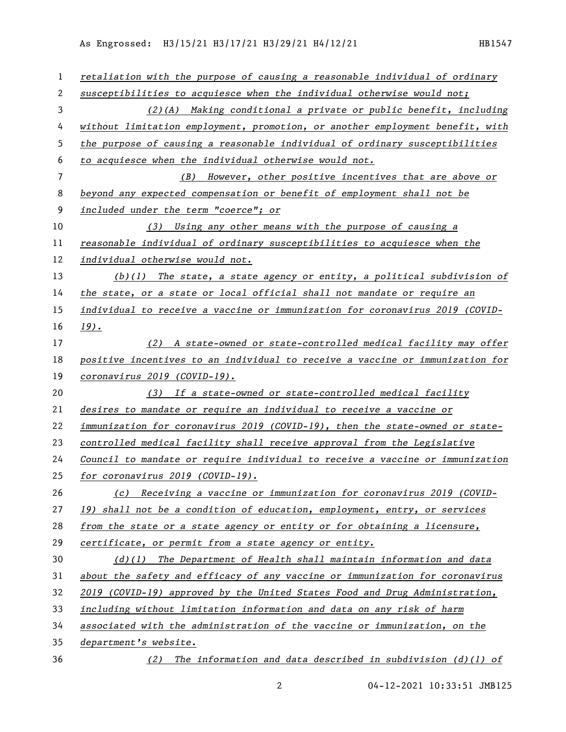As Engrossed: H3/15/21 H3/17/21 H3/29/21 H4/12/21 112121

| 1  | retaliation with the purpose of causing a reasonable individual of ordinary   |
|----|-------------------------------------------------------------------------------|
| 2  | susceptibilities to acquiesce when the individual otherwise would not;        |
| 3  | $(2)(A)$ Making conditional a private or public benefit, including            |
| 4  | without limitation employment, promotion, or another employment benefit, with |
| 5  | the purpose of causing a reasonable individual of ordinary susceptibilities   |
| 6  | to acquiesce when the individual otherwise would not.                         |
| 7  | (B) However, other positive incentives that are above or                      |
| 8  | beyond any expected compensation or benefit of employment shall not be        |
| 9  | included under the term "coerce"; or                                          |
| 10 | (3) Using any other means with the purpose of causing a                       |
| 11 | reasonable individual of ordinary susceptibilities to acquiesce when the      |
| 12 | individual otherwise would not.                                               |
| 13 | $(b)(1)$ The state, a state agency or entity, a political subdivision of      |
| 14 | the state, or a state or local official shall not mandate or require an       |
| 15 | individual to receive a vaccine or immunization for coronavirus 2019 (COVID-  |
| 16 | $19$ .                                                                        |
| 17 | (2) A state-owned or state-controlled medical facility may offer              |
| 18 | positive incentives to an individual to receive a vaccine or immunization for |
| 19 | coronavirus 2019 (COVID-19).                                                  |
| 20 | (3) If a state-owned or state-controlled medical facility                     |
| 21 | desires to mandate or require an individual to receive a vaccine or           |
| 22 | immunization for coronavirus 2019 (COVID-19), then the state-owned or state-  |
| 23 | controlled medical facility shall receive approval from the Legislative       |
| 24 | Council to mandate or require individual to receive a vaccine or immunization |
| 25 | for coronavirus 2019 (COVID-19).                                              |
| 26 | (c) Receiving a vaccine or immunization for coronavirus 2019 (COVID-          |
| 27 | 19) shall not be a condition of education, employment, entry, or services     |
| 28 | from the state or a state agency or entity or for obtaining a licensure,      |
| 29 | certificate, or permit from a state agency or entity.                         |
| 30 | $(d)(1)$ The Department of Health shall maintain information and data         |
| 31 | about the safety and efficacy of any vaccine or immunization for coronavirus  |
| 32 | 2019 (COVID-19) approved by the United States Food and Drug Administration,   |
| 33 | including without limitation information and data on any risk of harm         |
| 34 | associated with the administration of the vaccine or immunization, on the     |
| 35 | department's website.                                                         |
| 36 | (2) The information and data described in subdivision $(d)(1)$ of             |

04-12-2021 10:33:51 JMB125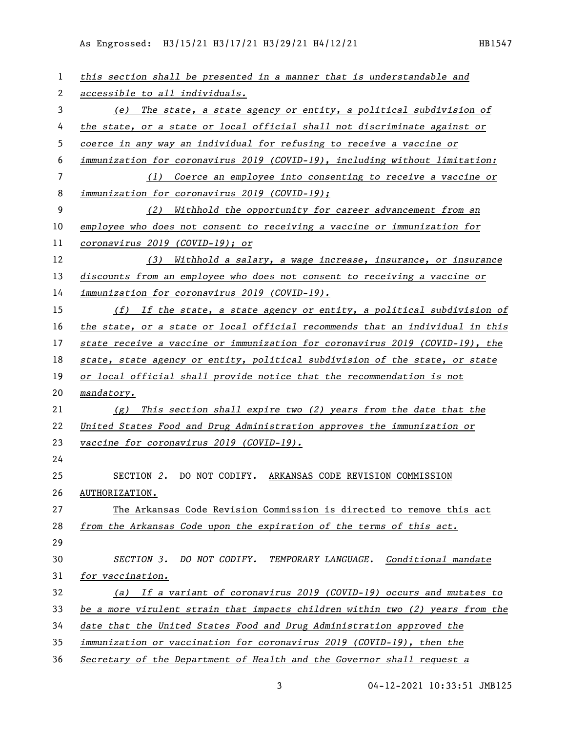As Engrossed: H3/15/21 H3/17/21 H3/29/21 H4/12/21 1121 HB1547

| 1  | this section shall be presented in a manner that is understandable and        |
|----|-------------------------------------------------------------------------------|
| 2  | accessible to all individuals.                                                |
| 3  | The state, a state agency or entity, a political subdivision of<br>(e)        |
| 4  | the state, or a state or local official shall not discriminate against or     |
| 5  | coerce in any way an individual for refusing to receive a vaccine or          |
| 6  | immunization for coronavirus 2019 (COVID-19), including without limitation:   |
| 7  | Coerce an employee into consenting to receive a vaccine or<br>(1)             |
| 8  | <i>immunization for coronavirus 2019 (COVID-19);</i>                          |
| 9  | Withhold the opportunity for career advancement from an<br>(2)                |
| 10 | employee who does not consent to receiving a vaccine or immunization for      |
| 11 | coronavirus 2019 (COVID-19); or                                               |
| 12 | (3)<br>Withhold a salary, a wage increase, insurance, or insurance            |
| 13 | discounts from an employee who does not consent to receiving a vaccine or     |
| 14 | immunization for coronavirus 2019 (COVID-19).                                 |
| 15 | $(f)$ If the state, a state agency or entity, a political subdivision of      |
| 16 | the state, or a state or local official recommends that an individual in this |
| 17 | state receive a vaccine or immunization for coronavirus 2019 (COVID-19), the  |
| 18 | state, state agency or entity, political subdivision of the state, or state   |
| 19 | or local official shall provide notice that the recommendation is not         |
| 20 | mandatory.                                                                    |
| 21 | $(g)$ This section shall expire two (2) years from the date that the          |
| 22 | United States Food and Drug Administration approves the immunization or       |
| 23 | vaccine for coronavirus 2019 (COVID-19).                                      |
| 24 |                                                                               |
| 25 | DO NOT CODIFY. ARKANSAS CODE REVISION COMMISSION<br>SECTION 2.                |
| 26 | AUTHORIZATION.                                                                |
| 27 | The Arkansas Code Revision Commission is directed to remove this act          |
| 28 | from the Arkansas Code upon the expiration of the terms of this act.          |
| 29 |                                                                               |
| 30 | SECTION 3. DO NOT CODIFY. TEMPORARY LANGUAGE. Conditional mandate             |
| 31 | for vaccination.                                                              |
| 32 | (a) If a variant of coronavirus 2019 (COVID-19) occurs and mutates to         |
| 33 | be a more virulent strain that impacts children within two (2) years from the |
| 34 | date that the United States Food and Drug Administration approved the         |
| 35 | immunization or vaccination for coronavirus 2019 (COVID-19), then the         |
| 36 | Secretary of the Department of Health and the Governor shall request a        |

04-12-2021 10:33:51 JMB125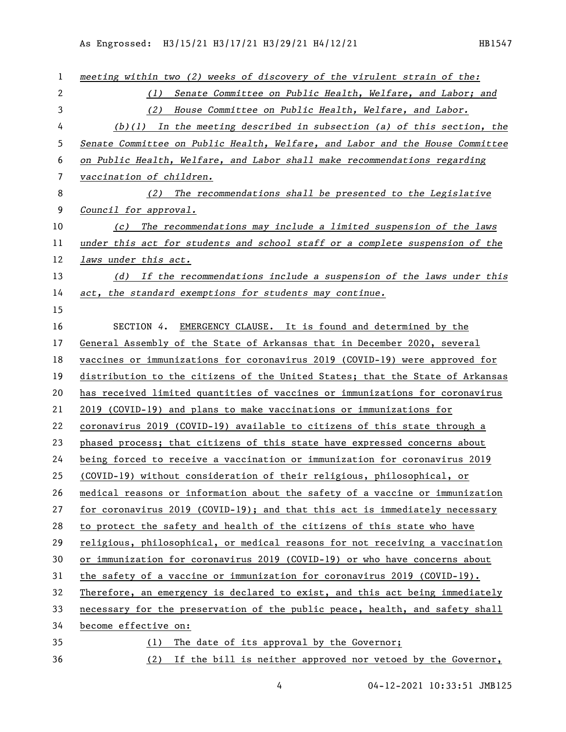| 1  | meeting within two (2) weeks of discovery of the virulent strain of the:      |
|----|-------------------------------------------------------------------------------|
| 2  | Senate Committee on Public Health, Welfare, and Labor; and<br>(1)             |
| 3  | (2)<br>House Committee on Public Health, Welfare, and Labor.                  |
| 4  | $(b)(1)$ In the meeting described in subsection (a) of this section, the      |
| 5  | Senate Committee on Public Health, Welfare, and Labor and the House Committee |
| 6  | on Public Health, Welfare, and Labor shall make recommendations regarding     |
| 7  | vaccination of children.                                                      |
| 8  | The recommendations shall be presented to the Legislative<br>(2)              |
| 9  | Council for approval.                                                         |
| 10 | The recommendations may include a limited suspension of the laws<br>(c)       |
| 11 | under this act for students and school staff or a complete suspension of the  |
| 12 | laws under this act.                                                          |
| 13 | (d) If the recommendations include a suspension of the laws under this        |
| 14 | act, the standard exemptions for students may continue.                       |
| 15 |                                                                               |
| 16 | SECTION 4.<br>EMERGENCY CLAUSE. It is found and determined by the             |
| 17 | General Assembly of the State of Arkansas that in December 2020, several      |
| 18 | vaccines or immunizations for coronavirus 2019 (COVID-19) were approved for   |
| 19 | distribution to the citizens of the United States; that the State of Arkansas |
| 20 | has received limited quantities of vaccines or immunizations for coronavirus  |
| 21 | 2019 (COVID-19) and plans to make vaccinations or immunizations for           |
| 22 | coronavirus 2019 (COVID-19) available to citizens of this state through a     |
| 23 | phased process; that citizens of this state have expressed concerns about     |
| 24 | being forced to receive a vaccination or immunization for coronavirus 2019    |
| 25 | (COVID-19) without consideration of their religious, philosophical, or        |
| 26 | medical reasons or information about the safety of a vaccine or immunization  |
| 27 | for coronavirus 2019 (COVID-19); and that this act is immediately necessary   |
| 28 | to protect the safety and health of the citizens of this state who have       |
| 29 | religious, philosophical, or medical reasons for not receiving a vaccination  |
| 30 | or immunization for coronavirus 2019 (COVID-19) or who have concerns about    |
| 31 | the safety of a vaccine or immunization for coronavirus 2019 (COVID-19).      |
| 32 | Therefore, an emergency is declared to exist, and this act being immediately  |
| 33 | necessary for the preservation of the public peace, health, and safety shall  |
| 34 | become effective on:                                                          |
| 35 | The date of its approval by the Governor;<br>(1)                              |
| 36 | (2) If the bill is neither approved nor vetoed by the Governor,               |

04-12-2021 10:33:51 JMB125